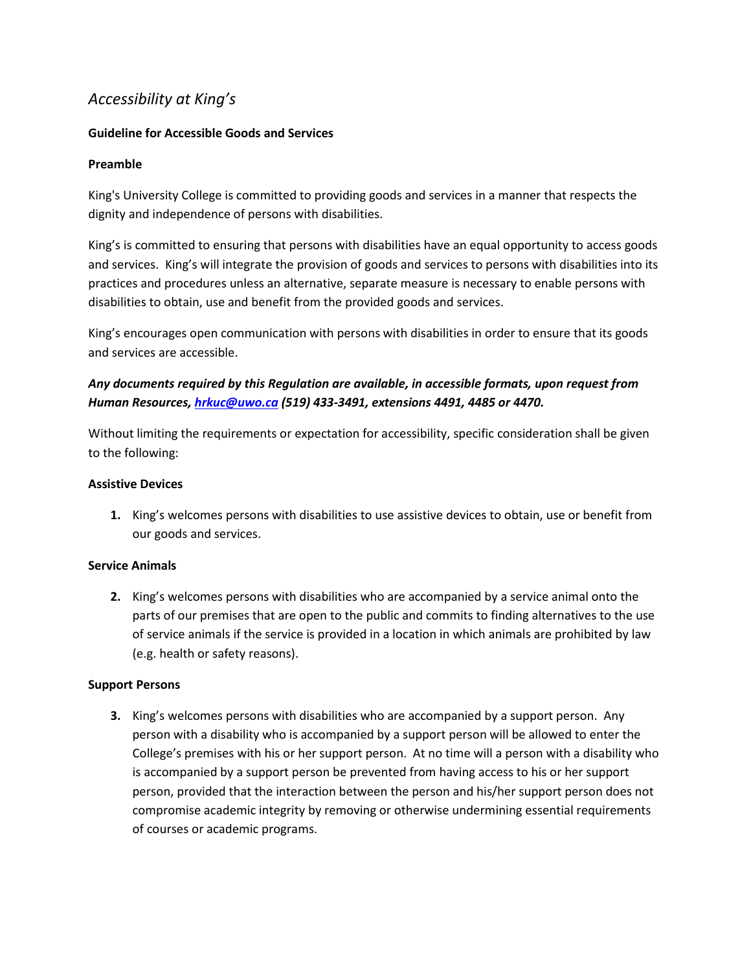# *Accessibility at King's*

# **Guideline for Accessible Goods and Services**

# **Preamble**

King's University College is committed to providing goods and services in a manner that respects the dignity and independence of persons with disabilities.

King's is committed to ensuring that persons with disabilities have an equal opportunity to access goods and services. King's will integrate the provision of goods and services to persons with disabilities into its practices and procedures unless an alternative, separate measure is necessary to enable persons with disabilities to obtain, use and benefit from the provided goods and services.

King's encourages open communication with persons with disabilities in order to ensure that its goods and services are accessible.

# *Any documents required by this Regulation are available, in accessible formats, upon request from Human Resources[, hrkuc@uwo.ca](mailto:hrkuc@uwo.ca) (519) 433-3491, extensions 4491, 4485 or 4470.*

Without limiting the requirements or expectation for accessibility, specific consideration shall be given to the following:

#### **Assistive Devices**

**1.** King's welcomes persons with disabilities to use assistive devices to obtain, use or benefit from our goods and services.

# **Service Animals**

**2.** King's welcomes persons with disabilities who are accompanied by a service animal onto the parts of our premises that are open to the public and commits to finding alternatives to the use of service animals if the service is provided in a location in which animals are prohibited by law (e.g. health or safety reasons).

# **Support Persons**

**3.** King's welcomes persons with disabilities who are accompanied by a support person. Any person with a disability who is accompanied by a support person will be allowed to enter the College's premises with his or her support person. At no time will a person with a disability who is accompanied by a support person be prevented from having access to his or her support person, provided that the interaction between the person and his/her support person does not compromise academic integrity by removing or otherwise undermining essential requirements of courses or academic programs.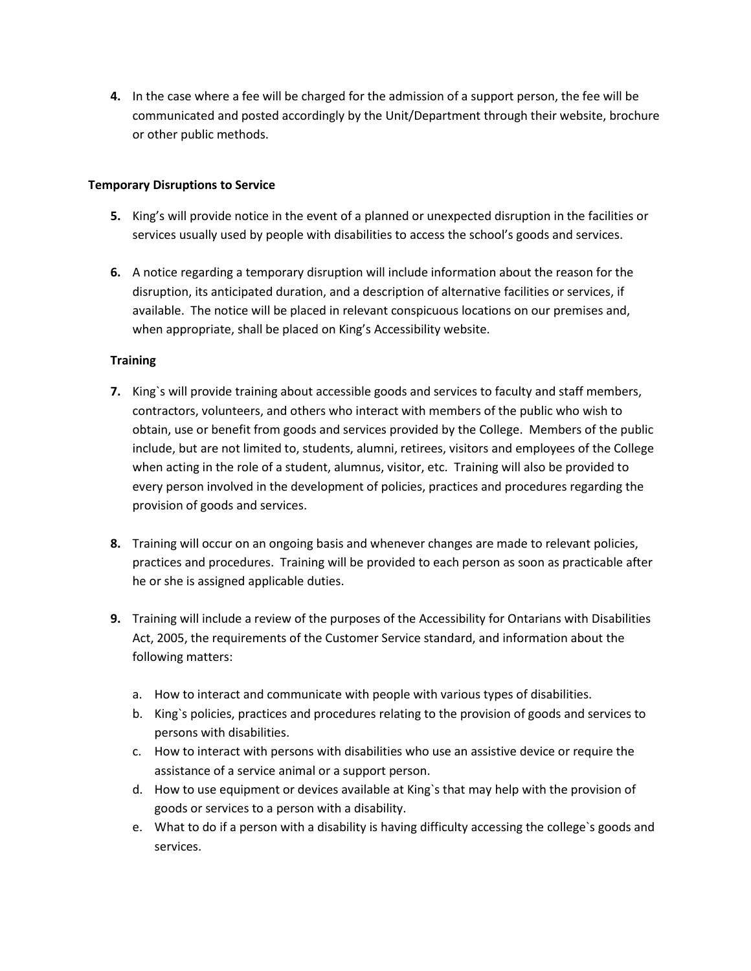**4.** In the case where a fee will be charged for the admission of a support person, the fee will be communicated and posted accordingly by the Unit/Department through their website, brochure or other public methods.

#### **Temporary Disruptions to Service**

- **5.** King's will provide notice in the event of a planned or unexpected disruption in the facilities or services usually used by people with disabilities to access the school's goods and services.
- **6.** A notice regarding a temporary disruption will include information about the reason for the disruption, its anticipated duration, and a description of alternative facilities or services, if available. The notice will be placed in relevant conspicuous locations on our premises and, when appropriate, shall be placed on King's Accessibility website.

#### **Training**

- **7.** King`s will provide training about accessible goods and services to faculty and staff members, contractors, volunteers, and others who interact with members of the public who wish to obtain, use or benefit from goods and services provided by the College. Members of the public include, but are not limited to, students, alumni, retirees, visitors and employees of the College when acting in the role of a student, alumnus, visitor, etc. Training will also be provided to every person involved in the development of policies, practices and procedures regarding the provision of goods and services.
- **8.** Training will occur on an ongoing basis and whenever changes are made to relevant policies, practices and procedures. Training will be provided to each person as soon as practicable after he or she is assigned applicable duties.
- **9.** Training will include a review of the purposes of the Accessibility for Ontarians with Disabilities Act, 2005, the requirements of the Customer Service standard, and information about the following matters:
	- a. How to interact and communicate with people with various types of disabilities.
	- b. King`s policies, practices and procedures relating to the provision of goods and services to persons with disabilities.
	- c. How to interact with persons with disabilities who use an assistive device or require the assistance of a service animal or a support person.
	- d. How to use equipment or devices available at King`s that may help with the provision of goods or services to a person with a disability.
	- e. What to do if a person with a disability is having difficulty accessing the college`s goods and services.